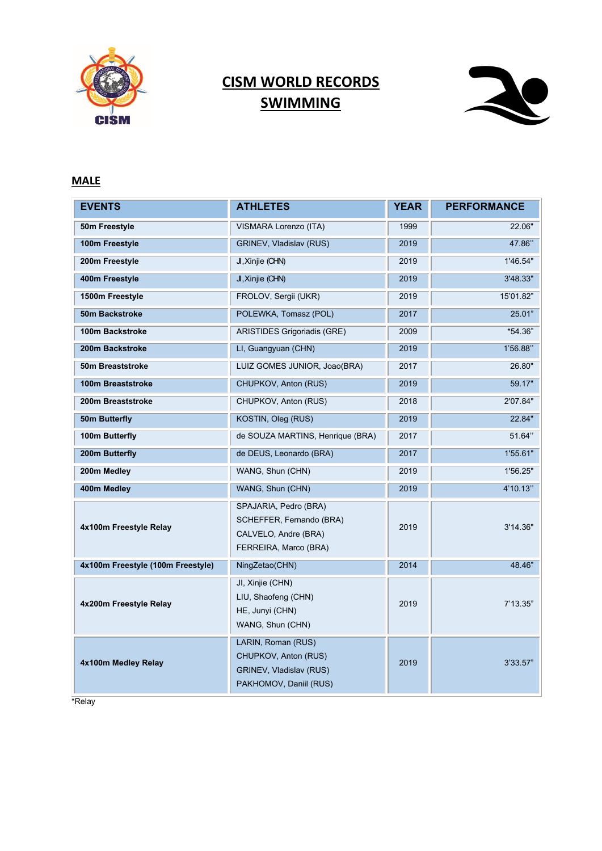

# **CISM WORLD RECORDS SWIMMING**



### **MALE**

| <b>EVENTS</b>                     | <b>ATHLETES</b>                                                                                    | <b>YEAR</b> | <b>PERFORMANCE</b> |
|-----------------------------------|----------------------------------------------------------------------------------------------------|-------------|--------------------|
| 50m Freestyle                     | VISMARA Lorenzo (ITA)                                                                              | 1999        | 22.06"             |
| 100m Freestyle                    | GRINEV, Vladislav (RUS)                                                                            | 2019        | 47.86"             |
| 200m Freestyle                    | JI, Xinjie (CHN)                                                                                   | 2019        | 1'46.54"           |
| 400m Freestyle                    | J, Xinjie (CHN)                                                                                    | 2019        | 3'48.33"           |
| 1500m Freestyle                   | FROLOV, Sergii (UKR)                                                                               | 2019        | 15'01.82"          |
| 50m Backstroke                    | POLEWKA, Tomasz (POL)                                                                              | 2017        | 25.01"             |
| 100m Backstroke                   | <b>ARISTIDES Grigoriadis (GRE)</b>                                                                 | 2009        | *54.36"            |
| 200m Backstroke                   | LI, Guangyuan (CHN)                                                                                | 2019        | 1'56.88"           |
| 50m Breaststroke                  | LUIZ GOMES JUNIOR, Joao(BRA)                                                                       | 2017        | 26.80"             |
| <b>100m Breaststroke</b>          | CHUPKOV, Anton (RUS)                                                                               | 2019        | 59.17"             |
| 200m Breaststroke                 | CHUPKOV, Anton (RUS)                                                                               | 2018        | 2'07.84"           |
| 50m Butterfly                     | KOSTIN, Oleg (RUS)                                                                                 | 2019        | 22.84"             |
| 100m Butterfly                    | de SOUZA MARTINS, Henrique (BRA)                                                                   | 2017        | 51.64"             |
| 200m Butterfly                    | de DEUS, Leonardo (BRA)                                                                            | 2017        | 1'55.61"           |
| 200m Medley                       | WANG, Shun (CHN)                                                                                   | 2019        | 1'56.25"           |
| 400m Medley                       | WANG, Shun (CHN)                                                                                   | 2019        | 4'10.13"           |
| 4x100m Freestyle Relay            | SPAJARIA, Pedro (BRA)<br>SCHEFFER, Fernando (BRA)<br>CALVELO, Andre (BRA)<br>FERREIRA, Marco (BRA) | 2019        | 3'14.36"           |
| 4x100m Freestyle (100m Freestyle) | NingZetao(CHN)                                                                                     | 2014        | 48.46"             |
| 4x200m Freestyle Relay            | JI, Xinjie (CHN)<br>LIU, Shaofeng (CHN)<br>HE, Junyi (CHN)<br>WANG, Shun (CHN)                     | 2019        | 7'13.35"           |
| 4x100m Medley Relay               | LARIN, Roman (RUS)<br>CHUPKOV, Anton (RUS)<br>GRINEV, Vladislav (RUS)<br>PAKHOMOV, Daniil (RUS)    | 2019        | 3'33.57"           |

\*Relay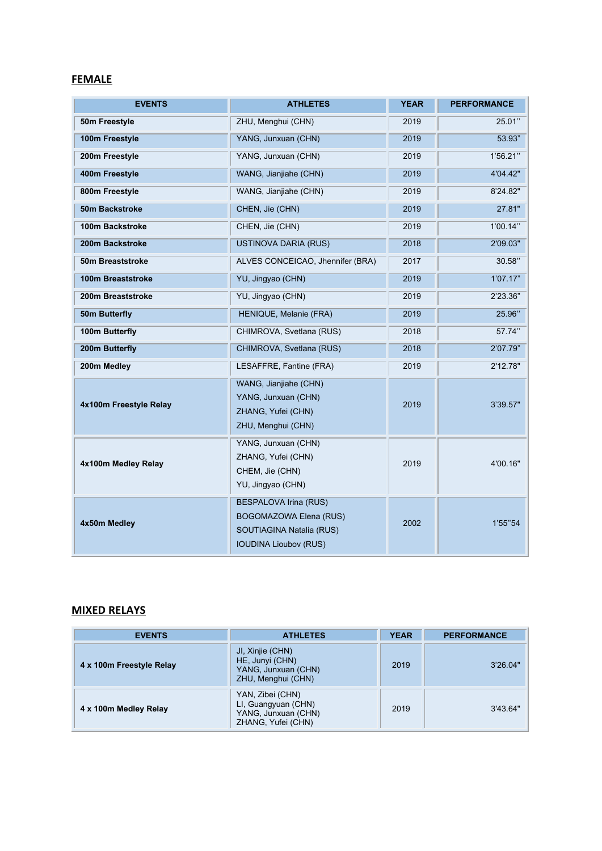#### **FEMALE**

| <b>EVENTS</b>          | <b>ATHLETES</b>                                                                                                           | YEAR | <b>PERFORMANCE</b> |
|------------------------|---------------------------------------------------------------------------------------------------------------------------|------|--------------------|
| 50m Freestyle          | ZHU, Menghui (CHN)                                                                                                        | 2019 | 25.01"             |
| 100m Freestyle         | YANG, Junxuan (CHN)                                                                                                       | 2019 | 53.93"             |
| 200m Freestyle         | YANG, Junxuan (CHN)                                                                                                       | 2019 | 1'56.21"           |
| 400m Freestyle         | WANG, Jianjiahe (CHN)                                                                                                     | 2019 | 4'04.42"           |
| 800m Freestyle         | WANG, Jianjiahe (CHN)                                                                                                     | 2019 | 8'24.82"           |
| 50m Backstroke         | CHEN, Jie (CHN)                                                                                                           | 2019 | 27.81"             |
| 100m Backstroke        | CHEN, Jie (CHN)                                                                                                           | 2019 | 1'00.14"           |
| 200m Backstroke        | <b>USTINOVA DARIA (RUS)</b>                                                                                               | 2018 | 2'09.03"           |
| 50m Breaststroke       | ALVES CONCEICAO, Jhennifer (BRA)                                                                                          | 2017 | 30.58"             |
| 100m Breaststroke      | YU, Jingyao (CHN)                                                                                                         | 2019 | 1'07.17"           |
| 200m Breaststroke      | YU, Jingyao (CHN)                                                                                                         | 2019 | 2'23.36"           |
| 50m Butterfly          | HENIQUE, Melanie (FRA)                                                                                                    | 2019 | 25.96"             |
| 100m Butterfly         | CHIMROVA, Svetlana (RUS)                                                                                                  | 2018 | 57.74"             |
| 200m Butterfly         | CHIMROVA, Svetlana (RUS)                                                                                                  | 2018 | 2'07.79"           |
| 200m Medley            | LESAFFRE, Fantine (FRA)                                                                                                   | 2019 | 2'12.78"           |
| 4x100m Freestyle Relay | WANG, Jianjiahe (CHN)<br>YANG, Junxuan (CHN)<br>ZHANG, Yufei (CHN)<br>ZHU, Menghui (CHN)                                  | 2019 | 3'39.57"           |
| 4x100m Medley Relay    | YANG, Junxuan (CHN)<br>ZHANG, Yufei (CHN)<br>CHEM, Jie (CHN)<br>YU, Jingyao (CHN)                                         | 2019 | 4'00.16"           |
| 4x50m Medley           | <b>BESPALOVA Irina (RUS)</b><br><b>BOGOMAZOWA Elena (RUS)</b><br>SOUTIAGINA Natalia (RUS)<br><b>IOUDINA Lioubov (RUS)</b> | 2002 | 1'55"54            |

### **MIXED RELAYS**

| <b>EVENTS</b>            | <b>ATHLETES</b>                                                                      | <b>YEAR</b> | <b>PERFORMANCE</b> |
|--------------------------|--------------------------------------------------------------------------------------|-------------|--------------------|
| 4 x 100m Freestyle Relay | JI, Xinjie (CHN)<br>HE, Junyi (CHN)<br>YANG, Junxuan (CHN)<br>ZHU, Menghui (CHN)     | 2019        | 3'26.04"           |
| 4 x 100m Medley Relay    | YAN, Zibei (CHN)<br>LI, Guangyuan (CHN)<br>YANG, Junxuan (CHN)<br>ZHANG, Yufei (CHN) | 2019        | 3'43.64"           |